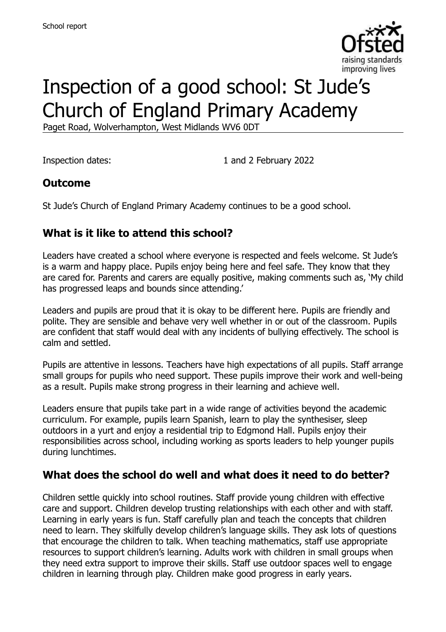

# Inspection of a good school: St Jude's Church of England Primary Academy

Paget Road, Wolverhampton, West Midlands WV6 0DT

Inspection dates: 1 and 2 February 2022

### **Outcome**

St Jude's Church of England Primary Academy continues to be a good school.

# **What is it like to attend this school?**

Leaders have created a school where everyone is respected and feels welcome. St Jude's is a warm and happy place. Pupils enjoy being here and feel safe. They know that they are cared for. Parents and carers are equally positive, making comments such as, 'My child has progressed leaps and bounds since attending.'

Leaders and pupils are proud that it is okay to be different here. Pupils are friendly and polite. They are sensible and behave very well whether in or out of the classroom. Pupils are confident that staff would deal with any incidents of bullying effectively. The school is calm and settled.

Pupils are attentive in lessons. Teachers have high expectations of all pupils. Staff arrange small groups for pupils who need support. These pupils improve their work and well-being as a result. Pupils make strong progress in their learning and achieve well.

Leaders ensure that pupils take part in a wide range of activities beyond the academic curriculum. For example, pupils learn Spanish, learn to play the synthesiser, sleep outdoors in a yurt and enjoy a residential trip to Edgmond Hall. Pupils enjoy their responsibilities across school, including working as sports leaders to help younger pupils during lunchtimes.

### **What does the school do well and what does it need to do better?**

Children settle quickly into school routines. Staff provide young children with effective care and support. Children develop trusting relationships with each other and with staff. Learning in early years is fun. Staff carefully plan and teach the concepts that children need to learn. They skilfully develop children's language skills. They ask lots of questions that encourage the children to talk. When teaching mathematics, staff use appropriate resources to support children's learning. Adults work with children in small groups when they need extra support to improve their skills. Staff use outdoor spaces well to engage children in learning through play. Children make good progress in early years.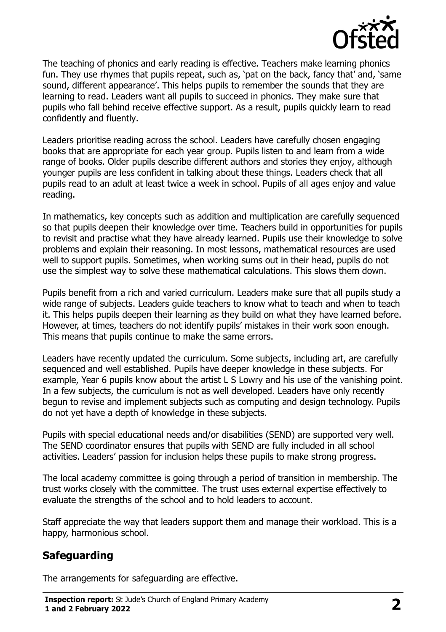

The teaching of phonics and early reading is effective. Teachers make learning phonics fun. They use rhymes that pupils repeat, such as, 'pat on the back, fancy that' and, 'same sound, different appearance'. This helps pupils to remember the sounds that they are learning to read. Leaders want all pupils to succeed in phonics. They make sure that pupils who fall behind receive effective support. As a result, pupils quickly learn to read confidently and fluently.

Leaders prioritise reading across the school. Leaders have carefully chosen engaging books that are appropriate for each year group. Pupils listen to and learn from a wide range of books. Older pupils describe different authors and stories they enjoy, although younger pupils are less confident in talking about these things. Leaders check that all pupils read to an adult at least twice a week in school. Pupils of all ages enjoy and value reading.

In mathematics, key concepts such as addition and multiplication are carefully sequenced so that pupils deepen their knowledge over time. Teachers build in opportunities for pupils to revisit and practise what they have already learned. Pupils use their knowledge to solve problems and explain their reasoning. In most lessons, mathematical resources are used well to support pupils. Sometimes, when working sums out in their head, pupils do not use the simplest way to solve these mathematical calculations. This slows them down.

Pupils benefit from a rich and varied curriculum. Leaders make sure that all pupils study a wide range of subjects. Leaders guide teachers to know what to teach and when to teach it. This helps pupils deepen their learning as they build on what they have learned before. However, at times, teachers do not identify pupils' mistakes in their work soon enough. This means that pupils continue to make the same errors.

Leaders have recently updated the curriculum. Some subjects, including art, are carefully sequenced and well established. Pupils have deeper knowledge in these subjects. For example, Year 6 pupils know about the artist L S Lowry and his use of the vanishing point. In a few subjects, the curriculum is not as well developed. Leaders have only recently begun to revise and implement subjects such as computing and design technology. Pupils do not yet have a depth of knowledge in these subjects.

Pupils with special educational needs and/or disabilities (SEND) are supported very well. The SEND coordinator ensures that pupils with SEND are fully included in all school activities. Leaders' passion for inclusion helps these pupils to make strong progress.

The local academy committee is going through a period of transition in membership. The trust works closely with the committee. The trust uses external expertise effectively to evaluate the strengths of the school and to hold leaders to account.

Staff appreciate the way that leaders support them and manage their workload. This is a happy, harmonious school.

# **Safeguarding**

The arrangements for safeguarding are effective.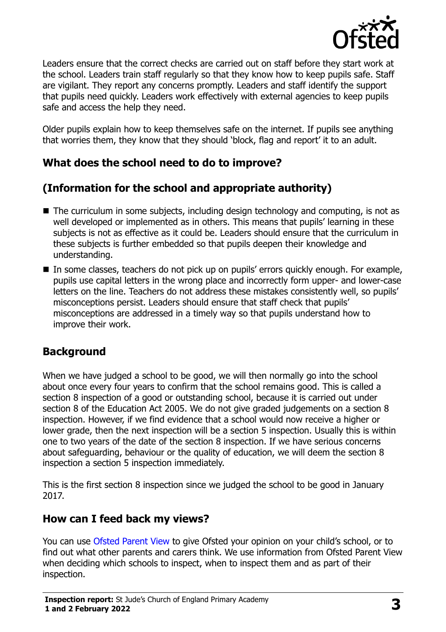

Leaders ensure that the correct checks are carried out on staff before they start work at the school. Leaders train staff regularly so that they know how to keep pupils safe. Staff are vigilant. They report any concerns promptly. Leaders and staff identify the support that pupils need quickly. Leaders work effectively with external agencies to keep pupils safe and access the help they need.

Older pupils explain how to keep themselves safe on the internet. If pupils see anything that worries them, they know that they should 'block, flag and report' it to an adult.

# **What does the school need to do to improve?**

# **(Information for the school and appropriate authority)**

- The curriculum in some subjects, including design technology and computing, is not as well developed or implemented as in others. This means that pupils' learning in these subjects is not as effective as it could be. Leaders should ensure that the curriculum in these subjects is further embedded so that pupils deepen their knowledge and understanding.
- In some classes, teachers do not pick up on pupils' errors quickly enough. For example, pupils use capital letters in the wrong place and incorrectly form upper- and lower-case letters on the line. Teachers do not address these mistakes consistently well, so pupils' misconceptions persist. Leaders should ensure that staff check that pupils' misconceptions are addressed in a timely way so that pupils understand how to improve their work.

### **Background**

When we have judged a school to be good, we will then normally go into the school about once every four years to confirm that the school remains good. This is called a section 8 inspection of a good or outstanding school, because it is carried out under section 8 of the Education Act 2005. We do not give graded judgements on a section 8 inspection. However, if we find evidence that a school would now receive a higher or lower grade, then the next inspection will be a section 5 inspection. Usually this is within one to two years of the date of the section 8 inspection. If we have serious concerns about safeguarding, behaviour or the quality of education, we will deem the section 8 inspection a section 5 inspection immediately.

This is the first section 8 inspection since we judged the school to be good in January 2017.

### **How can I feed back my views?**

You can use [Ofsted Parent View](https://parentview.ofsted.gov.uk/) to give Ofsted your opinion on your child's school, or to find out what other parents and carers think. We use information from Ofsted Parent View when deciding which schools to inspect, when to inspect them and as part of their inspection.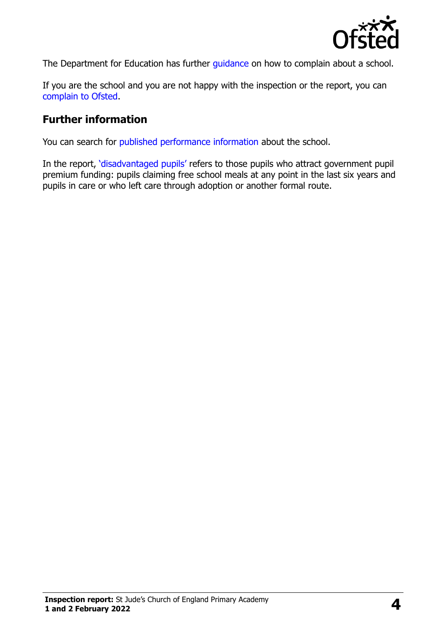

The Department for Education has further quidance on how to complain about a school.

If you are the school and you are not happy with the inspection or the report, you can [complain to Ofsted.](https://www.gov.uk/complain-ofsted-report)

#### **Further information**

You can search for [published performance information](http://www.compare-school-performance.service.gov.uk/) about the school.

In the report, '[disadvantaged pupils](http://www.gov.uk/guidance/pupil-premium-information-for-schools-and-alternative-provision-settings)' refers to those pupils who attract government pupil premium funding: pupils claiming free school meals at any point in the last six years and pupils in care or who left care through adoption or another formal route.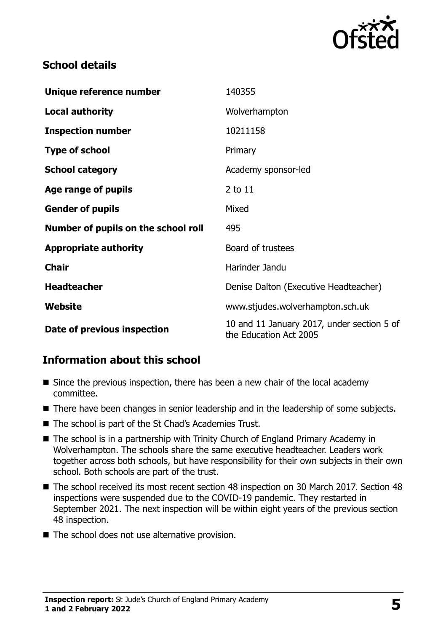

## **School details**

| Unique reference number             | 140355                                                               |
|-------------------------------------|----------------------------------------------------------------------|
| <b>Local authority</b>              | Wolverhampton                                                        |
| <b>Inspection number</b>            | 10211158                                                             |
| <b>Type of school</b>               | Primary                                                              |
| <b>School category</b>              | Academy sponsor-led                                                  |
| Age range of pupils                 | 2 to 11                                                              |
| <b>Gender of pupils</b>             | Mixed                                                                |
| Number of pupils on the school roll | 495                                                                  |
| <b>Appropriate authority</b>        | Board of trustees                                                    |
| <b>Chair</b>                        | Harinder Jandu                                                       |
| <b>Headteacher</b>                  | Denise Dalton (Executive Headteacher)                                |
| Website                             | www.stjudes.wolverhampton.sch.uk                                     |
| Date of previous inspection         | 10 and 11 January 2017, under section 5 of<br>the Education Act 2005 |

# **Information about this school**

- Since the previous inspection, there has been a new chair of the local academy committee.
- There have been changes in senior leadership and in the leadership of some subjects.
- The school is part of the St Chad's Academies Trust.
- The school is in a partnership with Trinity Church of England Primary Academy in Wolverhampton. The schools share the same executive headteacher. Leaders work together across both schools, but have responsibility for their own subjects in their own school. Both schools are part of the trust.
- The school received its most recent section 48 inspection on 30 March 2017. Section 48 inspections were suspended due to the COVID-19 pandemic. They restarted in September 2021. The next inspection will be within eight years of the previous section 48 inspection.
- The school does not use alternative provision.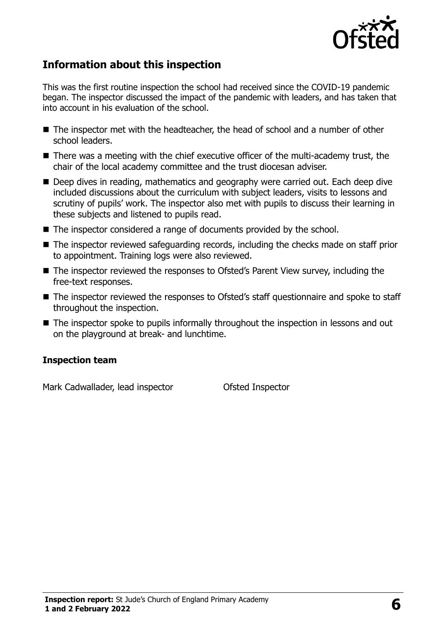

# **Information about this inspection**

This was the first routine inspection the school had received since the COVID-19 pandemic began. The inspector discussed the impact of the pandemic with leaders, and has taken that into account in his evaluation of the school.

- The inspector met with the headteacher, the head of school and a number of other school leaders.
- There was a meeting with the chief executive officer of the multi-academy trust, the chair of the local academy committee and the trust diocesan adviser.
- Deep dives in reading, mathematics and geography were carried out. Each deep dive included discussions about the curriculum with subject leaders, visits to lessons and scrutiny of pupils' work. The inspector also met with pupils to discuss their learning in these subjects and listened to pupils read.
- The inspector considered a range of documents provided by the school.
- The inspector reviewed safeguarding records, including the checks made on staff prior to appointment. Training logs were also reviewed.
- The inspector reviewed the responses to Ofsted's Parent View survey, including the free-text responses.
- The inspector reviewed the responses to Ofsted's staff questionnaire and spoke to staff throughout the inspection.
- The inspector spoke to pupils informally throughout the inspection in lessons and out on the playground at break- and lunchtime.

#### **Inspection team**

Mark Cadwallader, lead inspector **Ofsted Inspector**